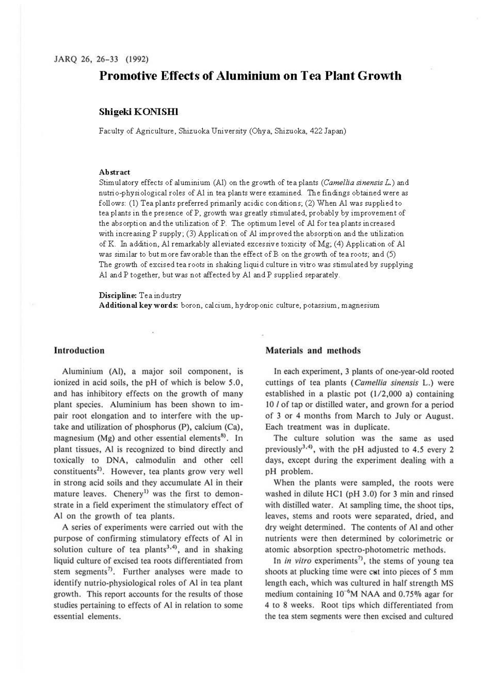# **Promotive Effects of Aluminium on Tea Plant Growth**

# **Shigeki KONISHI**

Faculty of Agriculture, Shizuoka University (Ohya, Shizuoka, 422 Japan)

### **Abstract**

Stimulatory effects of aluminium (Al) on the growth of tea plants *(Camellia sinensis L.)* and nutrio-physiological roles of Al in tea plants were examined. The findings obtained were as follows: (1) Tea plants preferred primarily acidic conditions; (2) When Al was supplied to tea plants in the presence of P, growth was greatly stimulated, probably by improvement of the absorption and the utilization of P. The optimum level of *Al* for tea plants increased with increasing P supply; (3) Application of *Al* improved the absorption and the utilization ofK. In addition, Al remarkably alleviated excessive toxicity of Mg; (4) Application of Al was similar to but more favorable than the effect of B on the growth of tea roots; and (5) The growth of excised tea roots in shaking liquid culture in vitro was stimulated by supplying Al and P together, but was not affected by Al and P supplied separately.

**Discipline:** Tea industry

**Additional keywords:** boron, calcium, hydroponic culture, potassium, magnesium

### **Introduction**

Aluminium (Al), a major soil component, is ionized in acid soils, the pH of which is below *5* .0, and has inhibitory effects on the growth of many plant species. Aluminium has been shown to impair root elongation and to interfere with the uptake and utilization of phosphorus (P), calcium (Ca), magnesium (Mg) and other essential elements<sup>8)</sup>. In plant tissues, Al is recognized to bind directly and toxically to DNA, calmodulin and other cell constituents<sup>2)</sup>. However, tea plants grow very well in strong acid soils and they accumulate **Al** in **their**  mature leaves. Chenery<sup>1)</sup> was the first to demonstrate in a field experiment the stimulatory effect of **Al** on the growth of tea plants.

**A** series of experiments were carried out with the purpose of confirming stimulatory effects of Al in solution culture of tea plants<sup>3,4</sup>, and in shaking liquid culture of excised tea roots differentiated from stem segments<sup>7</sup>. Further analyses were made to identify nutrio-physiological roles of Al in tea plant growth. This report accounts for the results of those studies pertaining to effects of Al in relation to some essential elements.

### **Materials and methods**

In each experiment, 3 plants of one-year-old rooted cuttings of tea plants (Camellia sinensis L.) were established in a plastic pot (1/2,000 a) containing 10 *l* of tap or distilled water, and grown for a period of 3 or 4 months from March to July or August. Each treatment was in duplicate.

The culture solution was the same as used previously<sup>3,4</sup>, with the pH adjusted to 4.5 every 2 days, except during the experiment dealing with a pH problem.

When the plants were sampled, the roots were washed in dilute HCI (pH 3.0) for 3 min and rinsed with distilled water. At sampling time, the shoot tips, leaves, stems and roots were separated, dried, and dry weight determined. The contents of Al and other nutrients were then determined by colorimetric or atomic absorption spectre-photometric methods.

In *in vitro* experiments<sup>7</sup>, the stems of young tea shoots at plucking time were cut into pieces of 5 mm length each, which was cultured in half strength MS medium containing  $10^{-6}$ M NAA and 0.75% agar for 4 to 8 weeks. Root tips which differentiated from the tea stem segments were then excised and cultured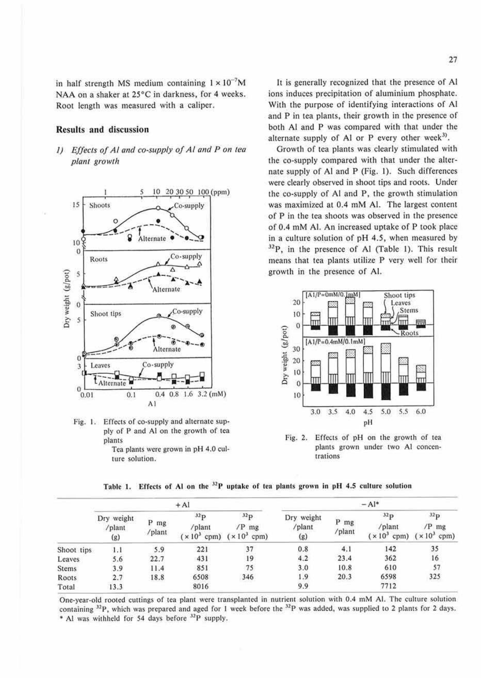in half strength MS medium containing  $1 \times 10^{-7}$ M NAA on a shaker at 25°C in darkness, for 4 weeks. Root length was measured with a caliper.

### **Results and discussion**

1) Effects of Al and co-supply of Al and P on tea plant growth



Fig. 1. Effects of co-supply and alternate supply of P and Al on the growth of tea plants Tea plants were grown in pH 4.0 culture solution.

It is generally recognized that the presence of Al ions induces precipitation of aluminium phosphate. With the purpose of identifying interactions of Al and P in tea plants, their growth in the presence of both Al and P was compared with that under the alternate supply of Al or P every other week<sup>3)</sup>.

Growth of tea plants was clearly stimulated with the co-supply compared with that under the alternate supply of Al and P (Fig. 1). Such differences were clearly observed in shoot tips and roots. Under the co-supply of Al and P, the growth stimulation was maximized at 0.4 mM Al. The largest content of P in the tea shoots was observed in the presence of 0.4 mM Al. An increased uptake of P took place in a culture solution of pH 4.5, when measured by  $^{32}P$ , in the presence of Al (Table 1). This result means that tea plants utilize P very well for their growth in the presence of Al.



Fig. 2. Effects of pH on the growth of tea plants grown under two Al concentrations

|  | THE T. Effects of Al on the T uptake of tea plants grown in per 4.5 curture solution |
|--|--------------------------------------------------------------------------------------|
|  |                                                                                      |

 $x \in \mathbb{R}$  and the  $y$ D matches of two plants proves in pH  $A \in$  sulting solution

|              | $+A1$                       |                |               | $- Al^*$                                             |                             |                |                                |                                  |
|--------------|-----------------------------|----------------|---------------|------------------------------------------------------|-----------------------------|----------------|--------------------------------|----------------------------------|
|              | Dry weight<br>/plant<br>(g) | P mg<br>/plant | 32p<br>/plant | $^{32}P$<br>$/P$ mg<br>$(x 10^3$ cpm) $(x 10^3$ cpm) | Dry weight<br>/plant<br>(g) | P mg<br>/plant | 32p<br>/plant<br>$(x 103$ cpm) | 32p<br>$/P$ mg<br>$(x 10^3$ cpm) |
| Shoot tips   | 1.1                         | 5.9            | 221           | 37                                                   | 0.8                         | 4.1            | 142                            | 35                               |
| Leaves       | 5.6                         | 22.7           | 431           | 19                                                   | 4.2                         | 23.4           | 362                            | 16                               |
| <b>Stems</b> | 3.9                         | 11.4           | 851           | 75                                                   | 3.0                         | 10.8           | 610                            | 57                               |
| Roots        | 2.7                         | 18.8           | 6508          | 346                                                  | 1.9                         | 20.3           | 6598                           | 325                              |
| Total        | 13.3                        |                | 8016          |                                                      | 9.9                         |                | 7712                           |                                  |

One-year-old rooted cuttings of tea plant were transplanted in nutrient solution with 0.4 mM Al. The culture solution containing <sup>32</sup>P, which was prepared and aged for 1 week before the <sup>32</sup>P was added, was supplied to 2 plants for 2 days. \* Al was withheld for 54 days before <sup>32</sup>P supply.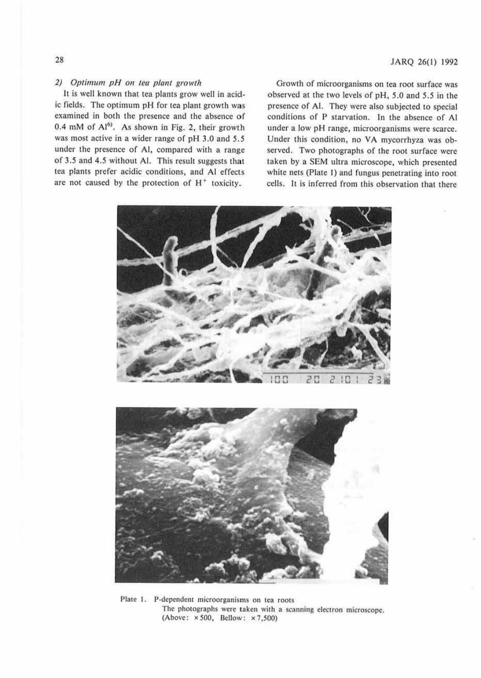### 28

### JARQ 26(1) 1992

### 2) Optimum pH on tea plant growth

It is well known that tea plants grow well in acidic fields. The optimum pH for tea plant growth was examined in both the presence and the absence of  $0.4$  mM of  $Al<sup>6</sup>$ . As shown in Fig. 2, their growth was most active in a wider range of pH 3.0 and *5.5*  under the presence of Al, compared with a range of 3.5 and 4.5 without Al. This result suggests that tea plants prefer acidic conditions, and Al effects are not caused by the protection of  $H^+$  toxicity.

Growth of microorganisms on tea root surface was observed at the two levels of pH, 5.0 and *5.5* in the presence of Al. They were also subjected to special conditions of P starvation. In the absence of Al under a low pH range, microorganisms were scarce. Under this condition, no VA mycorrhyza was observed. Two photographs of the root surface were taken by a SEM ultra microscope, which presented white nets (Plate I) and fungus penetrating into root cells. It is inferred from this observation that there



Plate 1. P-dependent microorganisms on tea roots The photographs were taken with a scanning electron microscope. (Above: x 500, Bellow: x 7,500)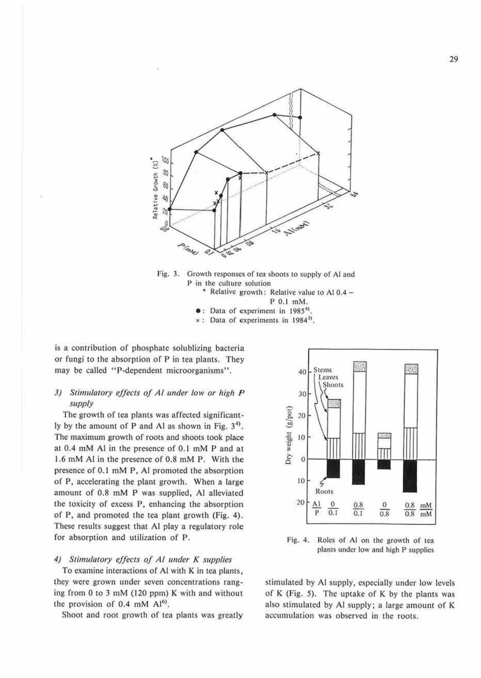



\* Relative growth: Relative value to Al  $0.4 -$ P 0.1 mM.

**•** : Data of experiment in 1985<sup>4)</sup>

• : Data of experiments in 19g4J>.

is a contribution of phosphate solublizing bacteria or fungi to the absorption of P in tea plants. They may be called "P-dependent microorganisms".

# 3) Stimulatory effects of Al under low or high P *sumulatory effects of At under tow or nigh*  $P$ <br>*supply*<br>The growth of tea plants was affected significant-

ly by the amount of P and Al as shown in Fig.  $3<sup>4</sup>$ . The maximum growth of roots and shoots took place at 0.4 mM Al in the presence of 0. 1 mM P and at 1.6 mM Al in the presence of 0.8 mM P. With the presence of  $0.1 \text{ mM } P$ , Al promoted the absorption of P, accelerating the plant growth. When a large amount of 0.8 mM P was supplied, Al alleviated the toxicity of excess P. enhancing the absorption of P, and promoted the tea plant growth (Fig. 4). These results suggest that Al play a regulatory role for absorption and utilization of P. Fig. 4. Roles of Al on the growth of tea

### 4) Stimulatory effects of Al under K supplies

To examine interactions of Al with **K** in tea plants, they were grown under seven concentrations rang- ing from Oto 3 mM (120 ppm) K with and without the provision of  $0.4$  mM  $Al<sup>6</sup>$ .

Shoot and root growth of tea plants was greatly



plants under low and high P supplies

stimulated by Al supply, especially under low levels of K (Fig. 5). The uptake of K by the plants was also stimulated by Al supply; a large amount of K accumulation was observed in the roots.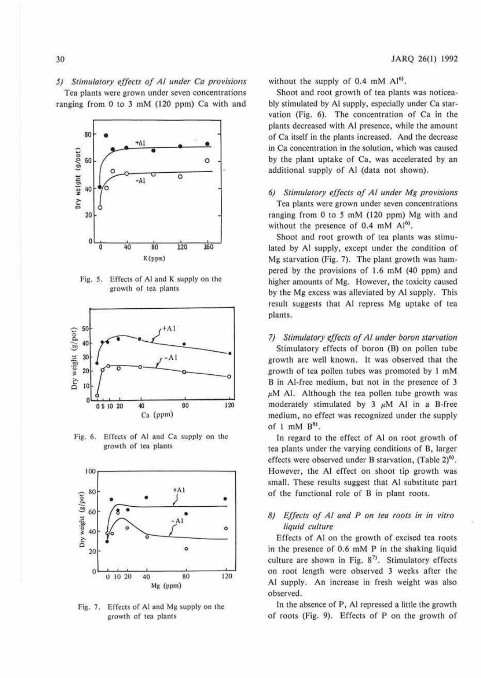# 5) Stimulatory effects of Al under Ca provisions

Tea plants were grown under seven concentrations ranging from 0 to 3 mM (120 ppm) Ca with and



Fig. 5. Effects of Al and K supply on the growth of tea plants



Fig. 6. Effects of Al and Ca supply on the growth of tea plants



Fig. 7. Effects of Al and Mg supply on the growth of tea plants

without the supply of 0.4 mM Al<sup>6)</sup>.

Shoot and root growth of tea plants was noticeably stimulated by Al supply, especially under Ca starvation (Fig. 6). The concentration of Ca in the plants decreased with Al presence, while the amount of Ca itself in the plants increased. And the decrease in Ca concentration in the solution, which was caused by the plant uptake of Ca, was accelerated by an additional supply of Al (data not shown).

# 6) Stimulatory effects of Al under Mg provisions

Tea plants were grown under seven concentrations ranging from 0 to 5 mM (120 ppm) Mg with and without the presence of 0.4 mM Al<sup>6)</sup>.

Shoot and root growth of tea plants was stimulated by Al supply, except under the condition of Mg starvation (Fig. 7). The plant growth was hampered by the provisions of 1.6 mM (40 ppm) and higher amounts of Mg. However, the toxicity caused by the Mg excess was alleviated by Al supply. This result suggests that Al repress Mg uptake of tea plants.

### 7) Stimulatory effects of Al under boron starvation

Stimulatory effects of boron (B) on pollen tube growth are well known. It was observed that the growth of tea pollen tubes was promoted by 1 mM B in Al-free medium, but not in the presence of 3  $\mu$ M Al. Although the tea pollen tube growth was moderately stimulated by  $3 \mu M$  Al in a B-free medium, no effect was recognized under the supply of 1 mM  $B^{8}$ .

In regard to the effect of Al on root growth of tea plants under the varying conditions of B, larger effects were observed under B starvation, (Table 2)<sup>6)</sup>. However, the Al effect on shoot tip growth was small. These results suggest that Al substitute part of the functional role of B in plant roots.

# 8) Effects of Al and P on tea roots in in vitro liquid culture

Effects of Al on the growth of excised tea roots in the presence of 0.6 mM P in the shaking liquid culture are shown in Fig.  $8^{7}$ . Stimulatory effects on root length were observed 3 weeks after the Al supply. An increase in fresh weight was also observed.

In the absence of P, Al repressed a little the growth of roots (Fig. 9). Effects of P on the growth of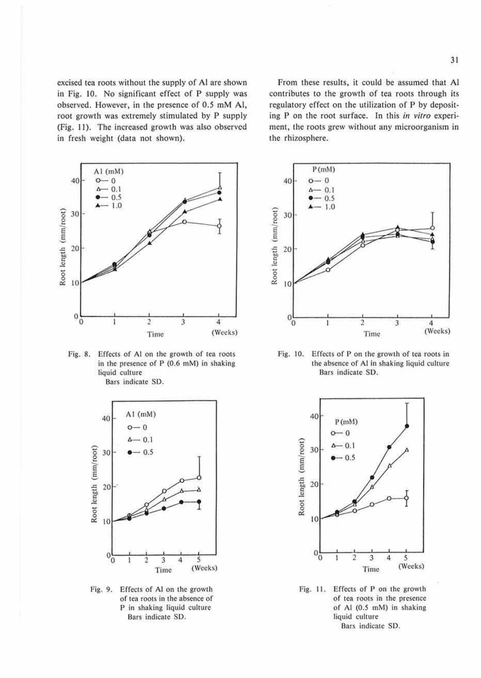excised tea roots without the supply of Al are shown in Fig. 10. No significant effect of P supply was observed. However, in the presence of 0.5 mM Al, root growth was extremely stimulated by P supply (Fig. 11). The increased growth was also observed in fresh weight (data not shown).



Fig. 8. Effects of Al on the growth of tea roots in the presence of P (0.6 mM) in shaking liquid culture Bars indicate SD.



Fig. 9. Effects of Al on the growth of tea roots in the absence of P in shaking liquid culture Bars indicate SD.

From these results, it could be assumed that Al contributes 10 the growth of tea roots through its regulatory effect on the utilization of P by depositing P on the root surface. In this in vitro experiment, the roots grew without any microorganism in the rhizosphere.



Fig. 10. Effects of P on the growth of tea roots in the absence of Al in shaking liquid culture Bars indicate SD.



Fig. 11. Effects of P on the growth of tea roots in the presence of Al (0.5 mM) in shaking liquid culture Bars indicate SD.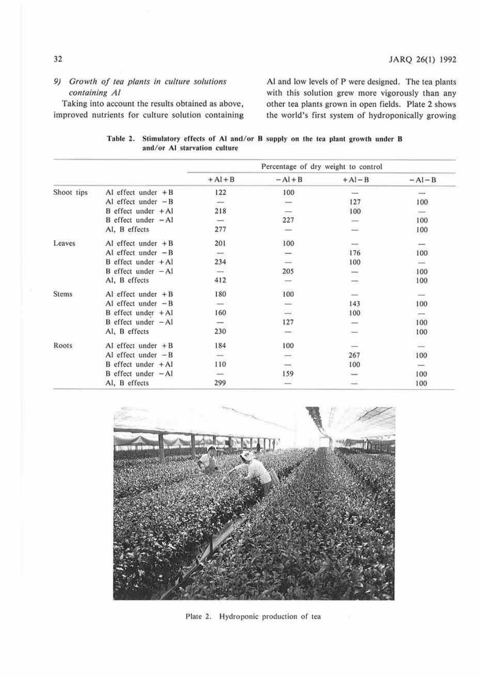# *9) Growth of tea plants in culture solutions containing Al*

Taking into account the results obtained as above:, improved nutrients for culture solution containing Al and low levels of P were designed. The tea plants with this solution grew more vigorously than any other tea plants grown in open fields. Plate 2 shows the world's first system of hydroponically growing

|  | Table 2. Stimulatory effects of Al and/or B supply on the tea plant growth under B |  |  |  |  |
|--|------------------------------------------------------------------------------------|--|--|--|--|
|  | and/or Al starvation culture                                                       |  |  |  |  |

|            |                        | Percentage of dry weight to control |                          |         |         |  |
|------------|------------------------|-------------------------------------|--------------------------|---------|---------|--|
|            |                        | $+A1+B$                             | $-AI + B$                | $+AI-B$ | $-AI-B$ |  |
| Shoot tips | Al effect under $+B$   | 122                                 | 100                      |         |         |  |
|            | Al effect under $-B$   |                                     | $\overline{\phantom{a}}$ | 127     | 100     |  |
|            | $B$ effect under $+A1$ | 218                                 |                          | 100     |         |  |
|            | $B$ effect under $-AI$ | $\overline{\phantom{a}}$            | 227                      | --      | 100     |  |
|            | Al, B effects          | 277                                 | 三                        | m       | 100     |  |
| Leaves     | Al effect under $+ B$  | 201                                 | 100                      |         |         |  |
|            | Al effect under $-B$   | $\overline{\phantom{a}}$            | $\overline{\phantom{a}}$ | 176     | 100     |  |
|            | $B$ effect under $+AI$ | 234                                 |                          | 100     |         |  |
|            | $B$ effect under $-A1$ |                                     | 205                      |         | 100     |  |
|            | Al, B effects          | 412                                 | =                        |         | 100     |  |
| Stems      | Al effect under $+ B$  | 180                                 | 100                      |         |         |  |
|            | Al effect under $-B$   |                                     | $-1$                     | 143     | 100     |  |
|            | $B$ effect under $+A1$ | 160                                 |                          | 100     |         |  |
|            | $B$ effect under $-AI$ |                                     | 127                      |         | 100     |  |
|            | Al, B effects          | 230                                 |                          |         | 100     |  |
| Roots      | Al effect under $+ B$  | 184                                 | 100                      |         | ∸       |  |
|            | Al effect under $-B$   |                                     | $\overline{\phantom{a}}$ | 267     | 100     |  |
|            | $B$ effect under $+A1$ | 110                                 | -                        | 100     |         |  |
|            | $B$ effect under $-AI$ |                                     | 159                      |         | 100     |  |
|            | Al, B effects          | 299                                 |                          |         | 100     |  |



Plate 2. Hydroponic production of tea

# 32